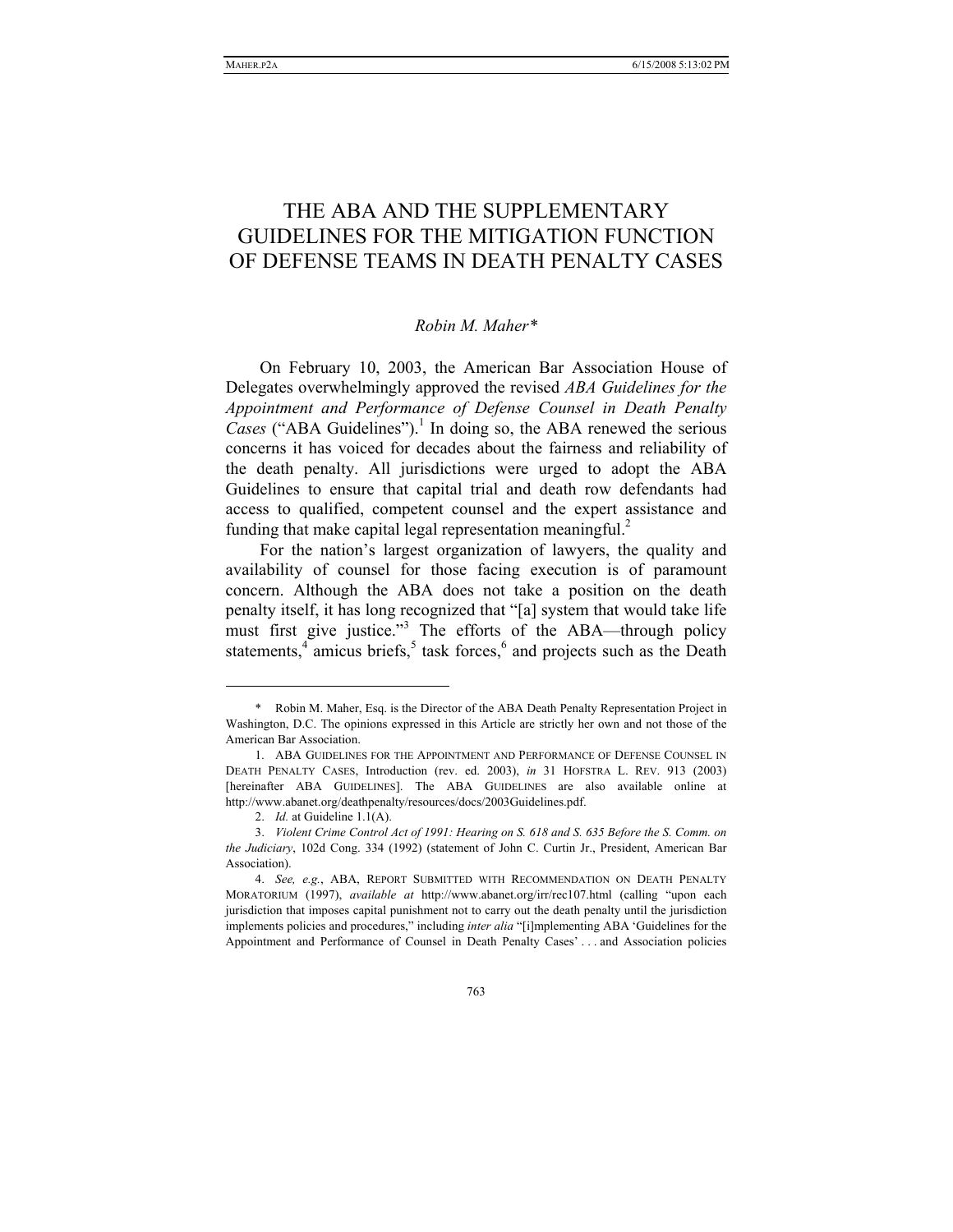# THE ABA AND THE SUPPLEMENTARY GUIDELINES FOR THE MITIGATION FUNCTION OF DEFENSE TEAMS IN DEATH PENALTY CASES

## *Robin M. Maher\**

On February 10, 2003, the American Bar Association House of Delegates overwhelmingly approved the revised *ABA Guidelines for the Appointment and Performance of Defense Counsel in Death Penalty*  Cases ("ABA Guidelines").<sup>1</sup> In doing so, the ABA renewed the serious concerns it has voiced for decades about the fairness and reliability of the death penalty. All jurisdictions were urged to adopt the ABA Guidelines to ensure that capital trial and death row defendants had access to qualified, competent counsel and the expert assistance and funding that make capital legal representation meaningful.<sup>2</sup>

For the nation's largest organization of lawyers, the quality and availability of counsel for those facing execution is of paramount concern. Although the ABA does not take a position on the death penalty itself, it has long recognized that "[a] system that would take life must first give justice."<sup>3</sup> The efforts of the ABA—through policy statements, $4$  amicus briefs, $5$  task forces, $6$  and projects such as the Death

 <sup>\*</sup> Robin M. Maher, Esq. is the Director of the ABA Death Penalty Representation Project in Washington, D.C. The opinions expressed in this Article are strictly her own and not those of the American Bar Association.

 <sup>1.</sup> ABA GUIDELINES FOR THE APPOINTMENT AND PERFORMANCE OF DEFENSE COUNSEL IN DEATH PENALTY CASES, Introduction (rev. ed. 2003), *in* 31 HOFSTRA L. REV. 913 (2003) [hereinafter ABA GUIDELINES]. The ABA GUIDELINES are also available online at http://www.abanet.org/deathpenalty/resources/docs/2003Guidelines.pdf.

 <sup>2.</sup> *Id.* at Guideline 1.1(A).

 <sup>3.</sup> *Violent Crime Control Act of 1991: Hearing on S. 618 and S. 635 Before the S. Comm. on the Judiciary*, 102d Cong. 334 (1992) (statement of John C. Curtin Jr., President, American Bar Association).

<sup>4.</sup> *See, e.g.*, ABA, REPORT SUBMITTED WITH RECOMMENDATION ON DEATH PENALTY MORATORIUM (1997), *available at* http://www.abanet.org/irr/rec107.html (calling "upon each jurisdiction that imposes capital punishment not to carry out the death penalty until the jurisdiction implements policies and procedures," including *inter alia* "[i]mplementing ABA 'Guidelines for the Appointment and Performance of Counsel in Death Penalty Cases' . . . and Association policies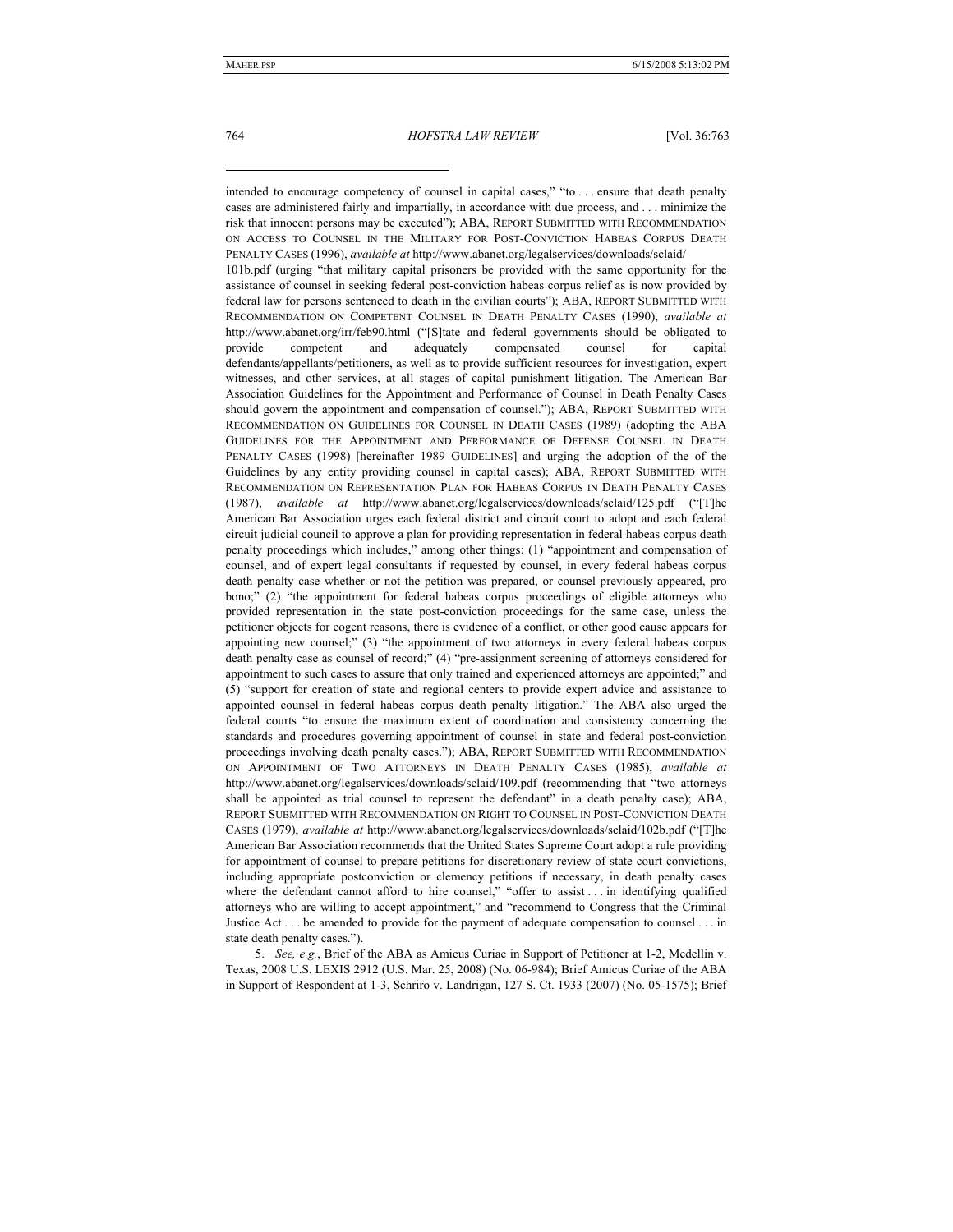intended to encourage competency of counsel in capital cases," "to . . . ensure that death penalty

cases are administered fairly and impartially, in accordance with due process, and . . . minimize the risk that innocent persons may be executed"); ABA, REPORT SUBMITTED WITH RECOMMENDATION ON ACCESS TO COUNSEL IN THE MILITARY FOR POST-CONVICTION HABEAS CORPUS DEATH PENALTY CASES (1996), *available at* http://www.abanet.org/legalservices/downloads/sclaid/ 101b.pdf (urging "that military capital prisoners be provided with the same opportunity for the assistance of counsel in seeking federal post-conviction habeas corpus relief as is now provided by federal law for persons sentenced to death in the civilian courts"); ABA, REPORT SUBMITTED WITH RECOMMENDATION ON COMPETENT COUNSEL IN DEATH PENALTY CASES (1990), *available at*  http://www.abanet.org/irr/feb90.html ("[S]tate and federal governments should be obligated to provide competent and adequately compensated counsel for capital defendants/appellants/petitioners, as well as to provide sufficient resources for investigation, expert witnesses, and other services, at all stages of capital punishment litigation. The American Bar Association Guidelines for the Appointment and Performance of Counsel in Death Penalty Cases should govern the appointment and compensation of counsel."); ABA, REPORT SUBMITTED WITH RECOMMENDATION ON GUIDELINES FOR COUNSEL IN DEATH CASES (1989) (adopting the ABA GUIDELINES FOR THE APPOINTMENT AND PERFORMANCE OF DEFENSE COUNSEL IN DEATH PENALTY CASES (1998) [hereinafter 1989 GUIDELINES] and urging the adoption of the of the Guidelines by any entity providing counsel in capital cases); ABA, REPORT SUBMITTED WITH RECOMMENDATION ON REPRESENTATION PLAN FOR HABEAS CORPUS IN DEATH PENALTY CASES (1987), *available at* http://www.abanet.org/legalservices/downloads/sclaid/125.pdf ("[T]he American Bar Association urges each federal district and circuit court to adopt and each federal circuit judicial council to approve a plan for providing representation in federal habeas corpus death penalty proceedings which includes," among other things: (1) "appointment and compensation of counsel, and of expert legal consultants if requested by counsel, in every federal habeas corpus death penalty case whether or not the petition was prepared, or counsel previously appeared, pro bono;" (2) "the appointment for federal habeas corpus proceedings of eligible attorneys who provided representation in the state post-conviction proceedings for the same case, unless the petitioner objects for cogent reasons, there is evidence of a conflict, or other good cause appears for appointing new counsel;" (3) "the appointment of two attorneys in every federal habeas corpus death penalty case as counsel of record;" (4) "pre-assignment screening of attorneys considered for appointment to such cases to assure that only trained and experienced attorneys are appointed;" and (5) "support for creation of state and regional centers to provide expert advice and assistance to appointed counsel in federal habeas corpus death penalty litigation." The ABA also urged the federal courts "to ensure the maximum extent of coordination and consistency concerning the standards and procedures governing appointment of counsel in state and federal post-conviction proceedings involving death penalty cases."); ABA, REPORT SUBMITTED WITH RECOMMENDATION ON APPOINTMENT OF TWO ATTORNEYS IN DEATH PENALTY CASES (1985), *available at*  http://www.abanet.org/legalservices/downloads/sclaid/109.pdf (recommending that "two attorneys shall be appointed as trial counsel to represent the defendant" in a death penalty case); ABA, REPORT SUBMITTED WITH RECOMMENDATION ON RIGHT TO COUNSEL IN POST-CONVICTION DEATH CASES (1979), *available at* http://www.abanet.org/legalservices/downloads/sclaid/102b.pdf ("[T]he American Bar Association recommends that the United States Supreme Court adopt a rule providing for appointment of counsel to prepare petitions for discretionary review of state court convictions, including appropriate postconviction or clemency petitions if necessary, in death penalty cases where the defendant cannot afford to hire counsel," "offer to assist . . . in identifying qualified attorneys who are willing to accept appointment," and "recommend to Congress that the Criminal Justice Act . . . be amended to provide for the payment of adequate compensation to counsel . . . in state death penalty cases.").

5. *See, e.g.*, Brief of the ABA as Amicus Curiae in Support of Petitioner at 1-2, Medellin v. Texas, 2008 U.S. LEXIS 2912 (U.S. Mar. 25, 2008) (No. 06-984); Brief Amicus Curiae of the ABA in Support of Respondent at 1-3, Schriro v. Landrigan, 127 S. Ct. 1933 (2007) (No. 05-1575); Brief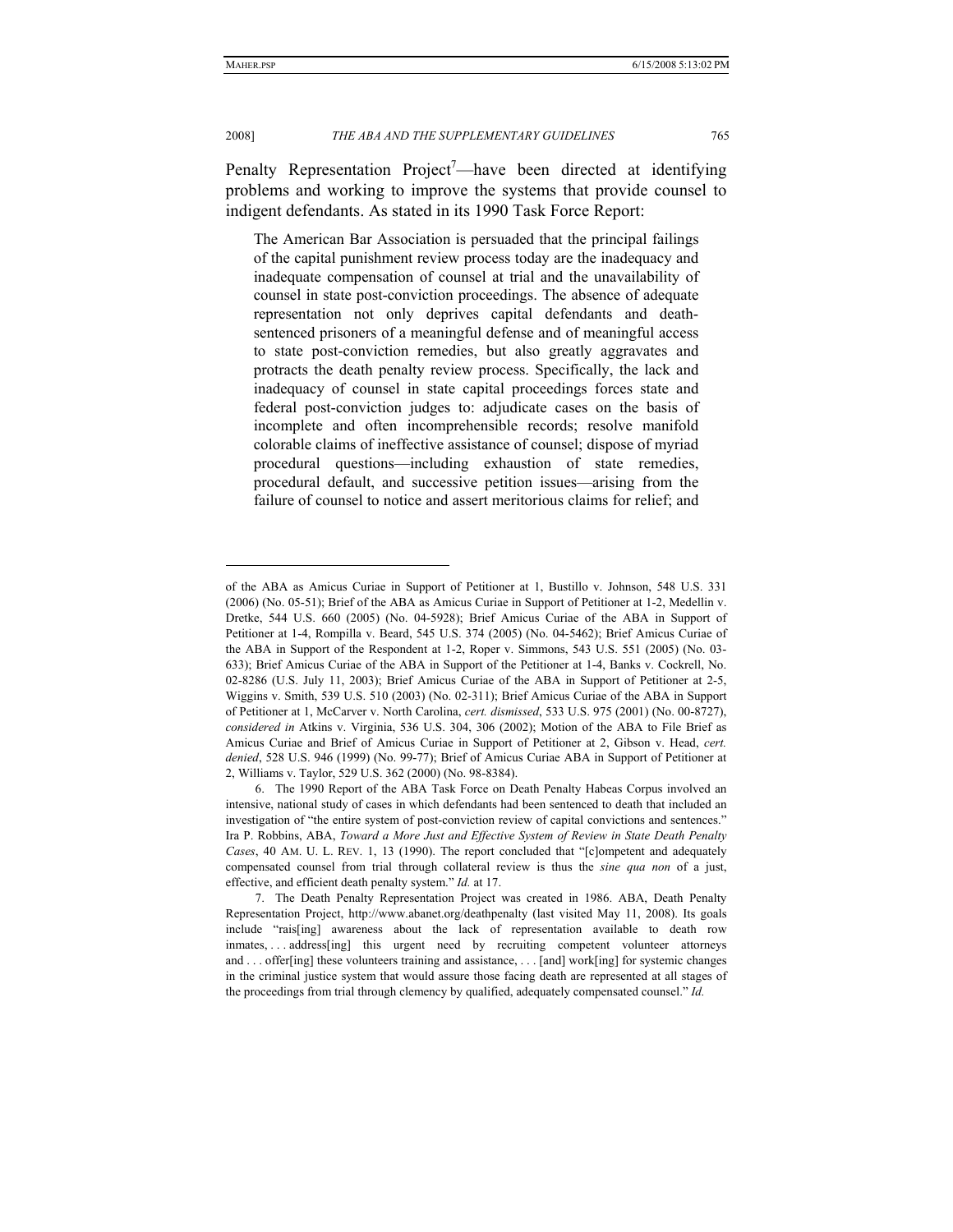### 2008] *THE ABA AND THE SUPPLEMENTARY GUIDELINES* 765

Penalty Representation Project<sup>7</sup>—have been directed at identifying problems and working to improve the systems that provide counsel to indigent defendants. As stated in its 1990 Task Force Report:

The American Bar Association is persuaded that the principal failings of the capital punishment review process today are the inadequacy and inadequate compensation of counsel at trial and the unavailability of counsel in state post-conviction proceedings. The absence of adequate representation not only deprives capital defendants and deathsentenced prisoners of a meaningful defense and of meaningful access to state post-conviction remedies, but also greatly aggravates and protracts the death penalty review process. Specifically, the lack and inadequacy of counsel in state capital proceedings forces state and federal post-conviction judges to: adjudicate cases on the basis of incomplete and often incomprehensible records; resolve manifold colorable claims of ineffective assistance of counsel; dispose of myriad procedural questions—including exhaustion of state remedies, procedural default, and successive petition issues—arising from the failure of counsel to notice and assert meritorious claims for relief; and

of the ABA as Amicus Curiae in Support of Petitioner at 1, Bustillo v. Johnson, 548 U.S. 331 (2006) (No. 05-51); Brief of the ABA as Amicus Curiae in Support of Petitioner at 1-2, Medellin v. Dretke, 544 U.S. 660 (2005) (No. 04-5928); Brief Amicus Curiae of the ABA in Support of Petitioner at 1-4, Rompilla v. Beard, 545 U.S. 374 (2005) (No. 04-5462); Brief Amicus Curiae of the ABA in Support of the Respondent at 1-2, Roper v. Simmons, 543 U.S. 551 (2005) (No. 03- 633); Brief Amicus Curiae of the ABA in Support of the Petitioner at 1-4, Banks v. Cockrell, No. 02-8286 (U.S. July 11, 2003); Brief Amicus Curiae of the ABA in Support of Petitioner at 2-5, Wiggins v. Smith, 539 U.S. 510 (2003) (No. 02-311); Brief Amicus Curiae of the ABA in Support of Petitioner at 1, McCarver v. North Carolina, *cert. dismissed*, 533 U.S. 975 (2001) (No. 00-8727), *considered in* Atkins v. Virginia, 536 U.S. 304, 306 (2002); Motion of the ABA to File Brief as Amicus Curiae and Brief of Amicus Curiae in Support of Petitioner at 2, Gibson v. Head, *cert. denied*, 528 U.S. 946 (1999) (No. 99-77); Brief of Amicus Curiae ABA in Support of Petitioner at 2, Williams v. Taylor, 529 U.S. 362 (2000) (No. 98-8384).

 <sup>6.</sup> The 1990 Report of the ABA Task Force on Death Penalty Habeas Corpus involved an intensive, national study of cases in which defendants had been sentenced to death that included an investigation of "the entire system of post-conviction review of capital convictions and sentences." Ira P. Robbins, ABA, *Toward a More Just and Effective System of Review in State Death Penalty Cases*, 40 AM. U. L. REV. 1, 13 (1990). The report concluded that "[c]ompetent and adequately compensated counsel from trial through collateral review is thus the *sine qua non* of a just, effective, and efficient death penalty system." *Id.* at 17.

 <sup>7.</sup> The Death Penalty Representation Project was created in 1986. ABA, Death Penalty Representation Project, http://www.abanet.org/deathpenalty (last visited May 11, 2008). Its goals include "rais[ing] awareness about the lack of representation available to death row inmates, ... address[ing] this urgent need by recruiting competent volunteer attorneys and . . . offer[ing] these volunteers training and assistance, . . . [and] work[ing] for systemic changes in the criminal justice system that would assure those facing death are represented at all stages of the proceedings from trial through clemency by qualified, adequately compensated counsel." *Id.*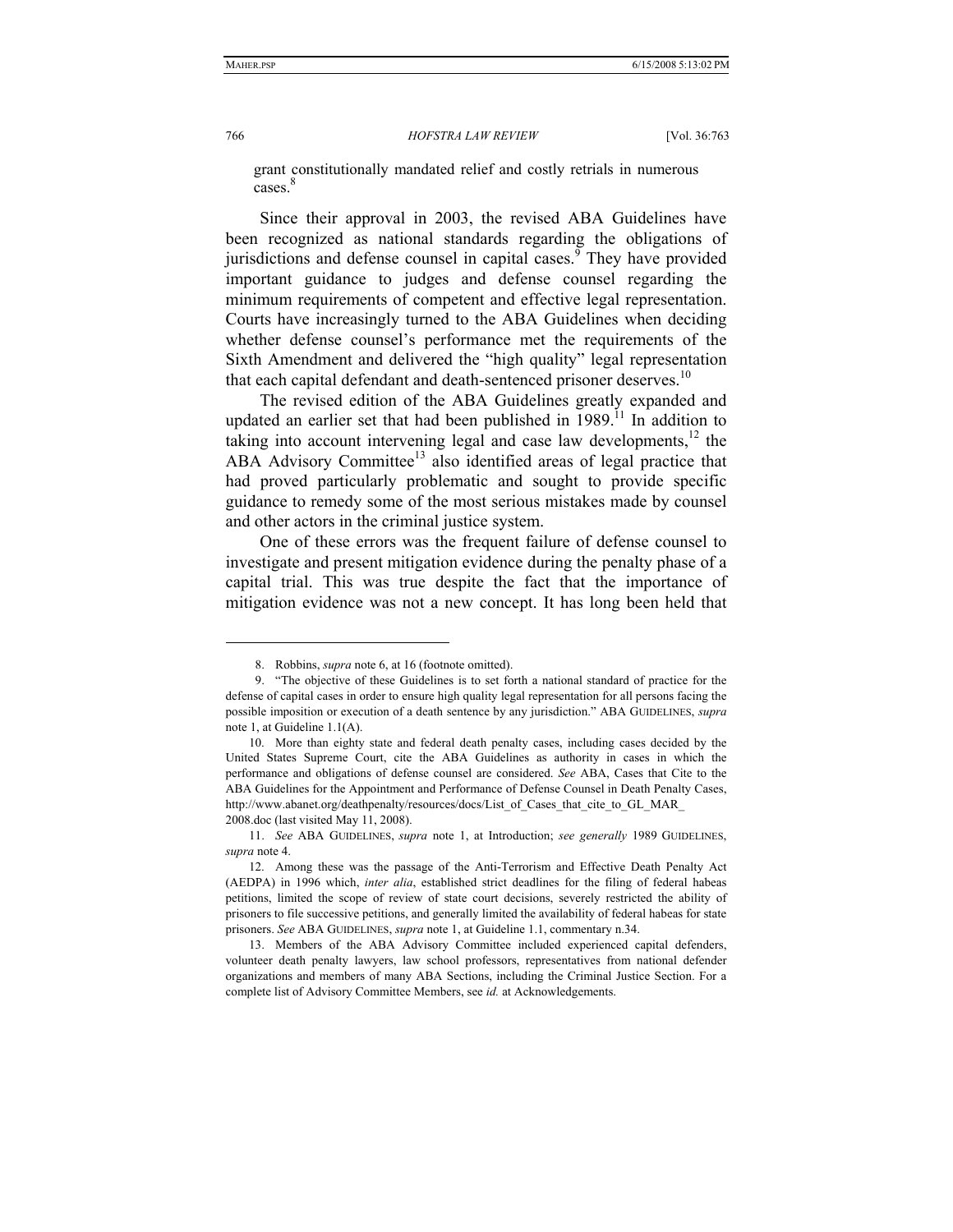766 *HOFSTRA LAW REVIEW* [Vol. 36:763

grant constitutionally mandated relief and costly retrials in numerous cases. 8

Since their approval in 2003, the revised ABA Guidelines have been recognized as national standards regarding the obligations of jurisdictions and defense counsel in capital cases. $\frac{9}{9}$  They have provided important guidance to judges and defense counsel regarding the minimum requirements of competent and effective legal representation. Courts have increasingly turned to the ABA Guidelines when deciding whether defense counsel's performance met the requirements of the Sixth Amendment and delivered the "high quality" legal representation that each capital defendant and death-sentenced prisoner deserves.<sup>10</sup>

The revised edition of the ABA Guidelines greatly expanded and updated an earlier set that had been published in  $1989$ <sup>11</sup>. In addition to taking into account intervening legal and case law developments, $12$  the ABA Advisory Committee<sup>13</sup> also identified areas of legal practice that had proved particularly problematic and sought to provide specific guidance to remedy some of the most serious mistakes made by counsel and other actors in the criminal justice system.

One of these errors was the frequent failure of defense counsel to investigate and present mitigation evidence during the penalty phase of a capital trial. This was true despite the fact that the importance of mitigation evidence was not a new concept. It has long been held that

<sup>8.</sup> Robbins, *supra* note 6, at 16 (footnote omitted).

 <sup>9. &</sup>quot;The objective of these Guidelines is to set forth a national standard of practice for the defense of capital cases in order to ensure high quality legal representation for all persons facing the possible imposition or execution of a death sentence by any jurisdiction." ABA GUIDELINES, *supra*  note 1, at Guideline 1.1(A).

 <sup>10.</sup> More than eighty state and federal death penalty cases, including cases decided by the United States Supreme Court, cite the ABA Guidelines as authority in cases in which the performance and obligations of defense counsel are considered. *See* ABA, Cases that Cite to the ABA Guidelines for the Appointment and Performance of Defense Counsel in Death Penalty Cases, http://www.abanet.org/deathpenalty/resources/docs/List\_of\_Cases\_that\_cite\_to\_GL\_MAR 2008.doc (last visited May 11, 2008).

 <sup>11.</sup> *See* ABA GUIDELINES, *supra* note 1, at Introduction; *see generally* 1989 GUIDELINES, *supra* note 4.

 <sup>12.</sup> Among these was the passage of the Anti-Terrorism and Effective Death Penalty Act (AEDPA) in 1996 which, *inter alia*, established strict deadlines for the filing of federal habeas petitions, limited the scope of review of state court decisions, severely restricted the ability of prisoners to file successive petitions, and generally limited the availability of federal habeas for state prisoners. *See* ABA GUIDELINES, *supra* note 1, at Guideline 1.1, commentary n.34.

 <sup>13.</sup> Members of the ABA Advisory Committee included experienced capital defenders, volunteer death penalty lawyers, law school professors, representatives from national defender organizations and members of many ABA Sections, including the Criminal Justice Section. For a complete list of Advisory Committee Members, see *id.* at Acknowledgements.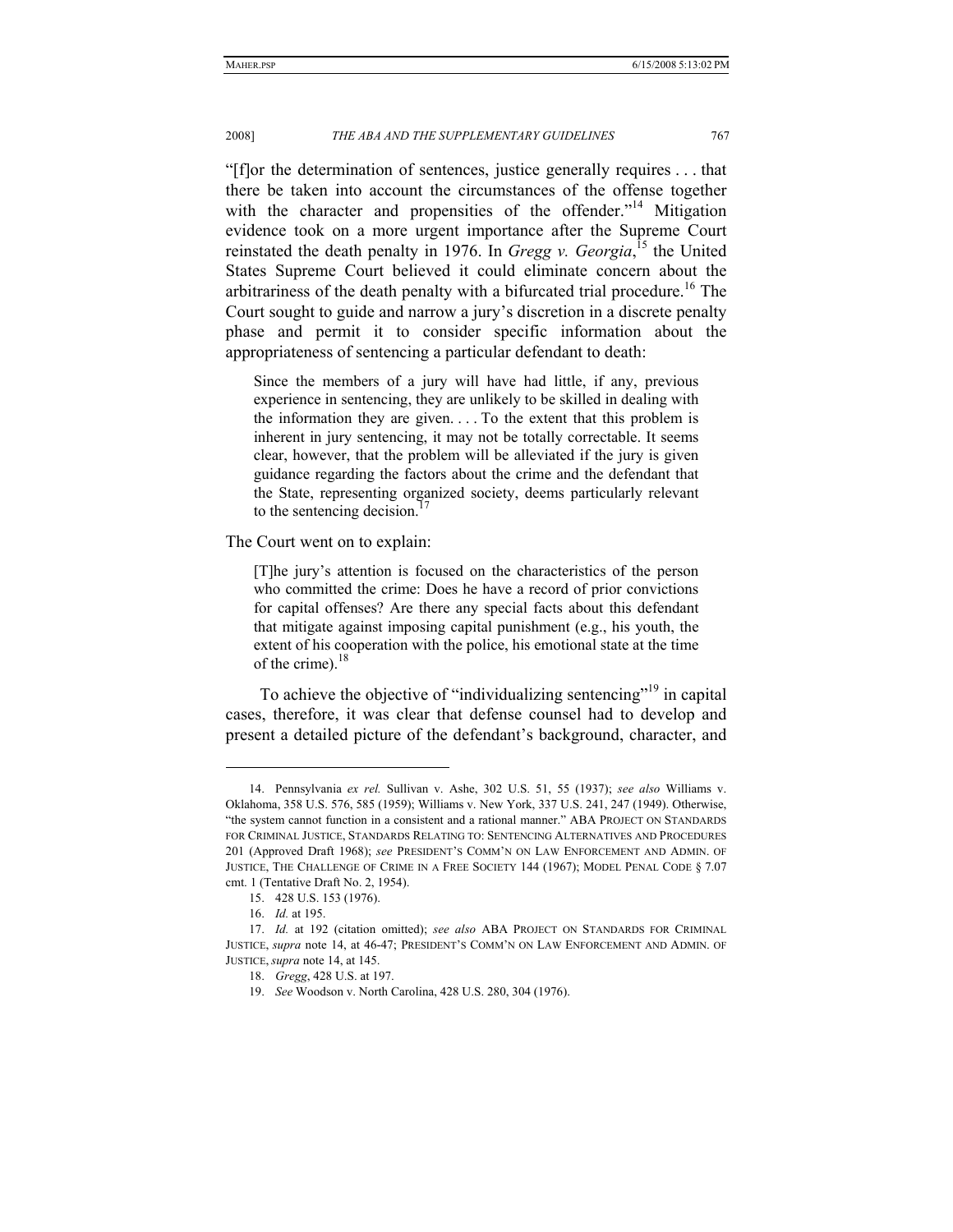#### 2008] *THE ABA AND THE SUPPLEMENTARY GUIDELINES* 767

"[f]or the determination of sentences, justice generally requires . . . that there be taken into account the circumstances of the offense together with the character and propensities of the offender."<sup>14</sup> Mitigation evidence took on a more urgent importance after the Supreme Court reinstated the death penalty in 1976. In *Gregg v. Georgia*, <sup>15</sup> the United States Supreme Court believed it could eliminate concern about the arbitrariness of the death penalty with a bifurcated trial procedure.<sup>16</sup> The Court sought to guide and narrow a jury's discretion in a discrete penalty phase and permit it to consider specific information about the appropriateness of sentencing a particular defendant to death:

Since the members of a jury will have had little, if any, previous experience in sentencing, they are unlikely to be skilled in dealing with the information they are given. . . . To the extent that this problem is inherent in jury sentencing, it may not be totally correctable. It seems clear, however, that the problem will be alleviated if the jury is given guidance regarding the factors about the crime and the defendant that the State, representing organized society, deems particularly relevant to the sentencing decision.<sup>1</sup>

The Court went on to explain:

[T]he jury's attention is focused on the characteristics of the person who committed the crime: Does he have a record of prior convictions for capital offenses? Are there any special facts about this defendant that mitigate against imposing capital punishment (e.g., his youth, the extent of his cooperation with the police, his emotional state at the time of the crime). $^{18}$ 

To achieve the objective of "individualizing sentencing"<sup>19</sup> in capital cases, therefore, it was clear that defense counsel had to develop and present a detailed picture of the defendant's background, character, and

<sup>14.</sup> Pennsylvania *ex rel.* Sullivan v. Ashe, 302 U.S. 51, 55 (1937); *see also* Williams v. Oklahoma, 358 U.S. 576, 585 (1959); Williams v. New York, 337 U.S. 241, 247 (1949). Otherwise, "the system cannot function in a consistent and a rational manner." ABA PROJECT ON STANDARDS FOR CRIMINAL JUSTICE, STANDARDS RELATING TO: SENTENCING ALTERNATIVES AND PROCEDURES 201 (Approved Draft 1968); *see* PRESIDENT'S COMM'N ON LAW ENFORCEMENT AND ADMIN. OF JUSTICE, THE CHALLENGE OF CRIME IN A FREE SOCIETY 144 (1967); MODEL PENAL CODE § 7.07 cmt. 1 (Tentative Draft No. 2, 1954).

 <sup>15. 428</sup> U.S. 153 (1976).

 <sup>16.</sup> *Id.* at 195.

<sup>17.</sup> *Id.* at 192 (citation omitted); *see also* ABA PROJECT ON STANDARDS FOR CRIMINAL JUSTICE, *supra* note 14, at 46-47; PRESIDENT'S COMM'N ON LAW ENFORCEMENT AND ADMIN. OF JUSTICE, *supra* note 14, at 145.

 <sup>18.</sup> *Gregg*, 428 U.S. at 197.

<sup>19.</sup> *See* Woodson v. North Carolina, 428 U.S. 280, 304 (1976).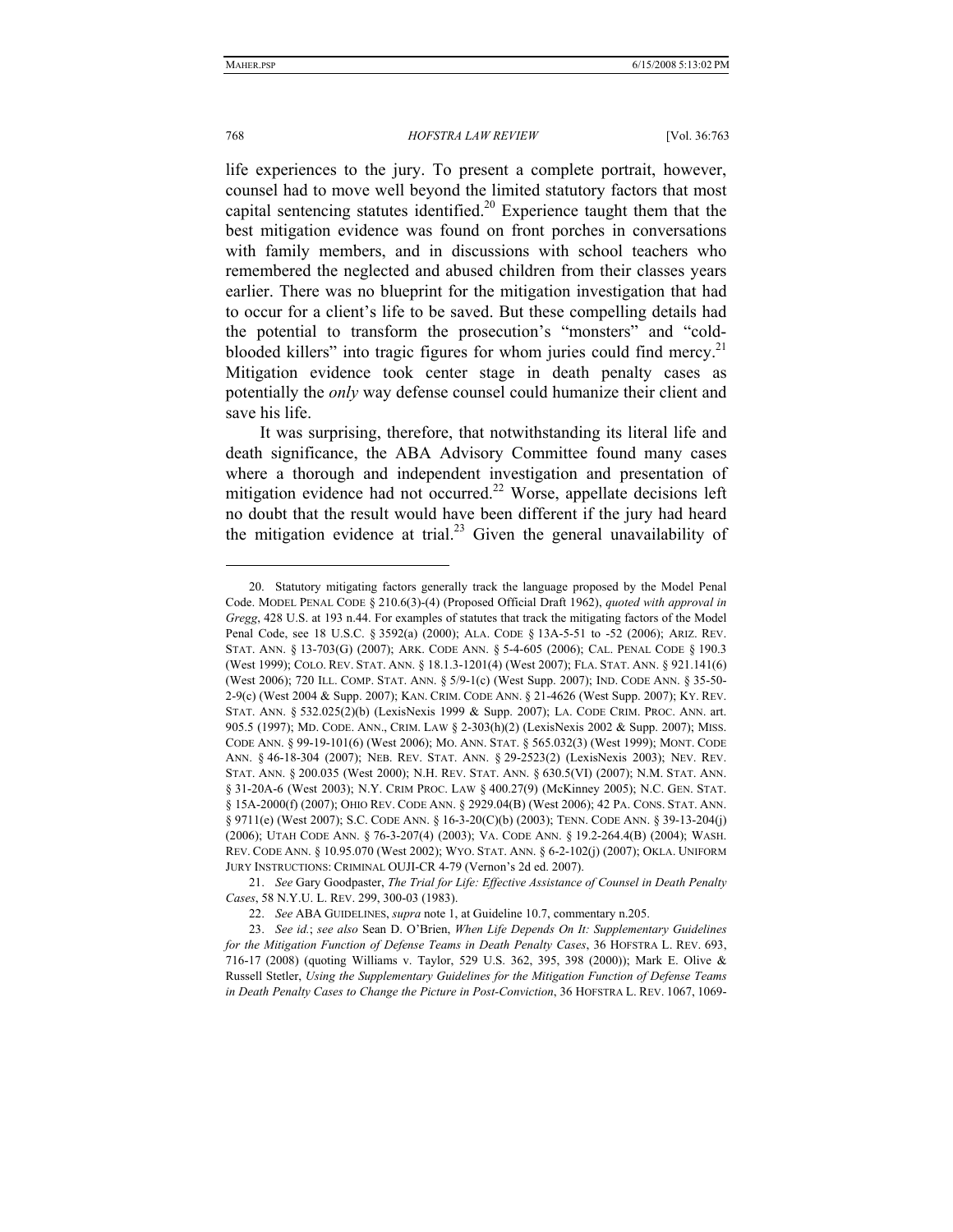#### 768 *HOFSTRA LAW REVIEW* [Vol. 36:763

life experiences to the jury. To present a complete portrait, however, counsel had to move well beyond the limited statutory factors that most capital sentencing statutes identified.<sup>20</sup> Experience taught them that the best mitigation evidence was found on front porches in conversations with family members, and in discussions with school teachers who remembered the neglected and abused children from their classes years earlier. There was no blueprint for the mitigation investigation that had to occur for a client's life to be saved. But these compelling details had the potential to transform the prosecution's "monsters" and "coldblooded killers" into tragic figures for whom juries could find mercy.<sup>21</sup> Mitigation evidence took center stage in death penalty cases as potentially the *only* way defense counsel could humanize their client and save his life.

It was surprising, therefore, that notwithstanding its literal life and death significance, the ABA Advisory Committee found many cases where a thorough and independent investigation and presentation of mitigation evidence had not occurred.<sup>22</sup> Worse, appellate decisions left no doubt that the result would have been different if the jury had heard the mitigation evidence at trial.<sup>23</sup> Given the general unavailability of

 <sup>20.</sup> Statutory mitigating factors generally track the language proposed by the Model Penal Code. MODEL PENAL CODE § 210.6(3)-(4) (Proposed Official Draft 1962), *quoted with approval in Gregg*, 428 U.S. at 193 n.44. For examples of statutes that track the mitigating factors of the Model Penal Code, see 18 U.S.C. § 3592(a) (2000); ALA. CODE § 13A-5-51 to -52 (2006); ARIZ. REV. STAT. ANN. § 13-703(G) (2007); ARK. CODE ANN. § 5-4-605 (2006); CAL. PENAL CODE § 190.3 (West 1999); COLO. REV. STAT. ANN. § 18.1.3-1201(4) (West 2007); FLA. STAT. ANN. § 921.141(6) (West 2006); 720 ILL. COMP. STAT. ANN. § 5/9-1(c) (West Supp. 2007); IND. CODE ANN. § 35-50- 2-9(c) (West 2004 & Supp. 2007); KAN. CRIM. CODE ANN. § 21-4626 (West Supp. 2007); KY. REV. STAT. ANN. § 532.025(2)(b) (LexisNexis 1999 & Supp. 2007); LA. CODE CRIM. PROC. ANN. art. 905.5 (1997); MD. CODE. ANN., CRIM. LAW § 2-303(h)(2) (LexisNexis 2002 & Supp. 2007); MISS. CODE ANN. § 99-19-101(6) (West 2006); MO. ANN. STAT. § 565.032(3) (West 1999); MONT. CODE ANN. § 46-18-304 (2007); NEB. REV. STAT. ANN. § 29-2523(2) (LexisNexis 2003); NEV. REV. STAT. ANN. § 200.035 (West 2000); N.H. REV. STAT. ANN. § 630.5(VI) (2007); N.M. STAT. ANN. § 31-20A-6 (West 2003); N.Y. CRIM PROC. LAW § 400.27(9) (McKinney 2005); N.C. GEN. STAT. § 15A-2000(f) (2007); OHIO REV. CODE ANN. § 2929.04(B) (West 2006); 42 PA. CONS. STAT. ANN. § 9711(e) (West 2007); S.C. CODE ANN. § 16-3-20(C)(b) (2003); TENN. CODE ANN. § 39-13-204(j) (2006); UTAH CODE ANN. § 76-3-207(4) (2003); VA. CODE ANN. § 19.2-264.4(B) (2004); WASH. REV. CODE ANN. § 10.95.070 (West 2002); WYO. STAT. ANN. § 6-2-102(j) (2007); OKLA. UNIFORM JURY INSTRUCTIONS: CRIMINAL OUJI-CR 4-79 (Vernon's 2d ed. 2007).

 <sup>21.</sup> *See* Gary Goodpaster, *The Trial for Life: Effective Assistance of Counsel in Death Penalty Cases*, 58 N.Y.U. L. REV. 299, 300-03 (1983).

<sup>22.</sup> *See* ABA GUIDELINES, *supra* note 1, at Guideline 10.7, commentary n.205.

 <sup>23.</sup> *See id.*; *see also* Sean D. O'Brien, *When Life Depends On It: Supplementary Guidelines for the Mitigation Function of Defense Teams in Death Penalty Cases*, 36 HOFSTRA L. REV. 693, 716-17 (2008) (quoting Williams v. Taylor, 529 U.S. 362, 395, 398 (2000)); Mark E. Olive & Russell Stetler, *Using the Supplementary Guidelines for the Mitigation Function of Defense Teams in Death Penalty Cases to Change the Picture in Post-Conviction*, 36 HOFSTRA L. REV. 1067, 1069-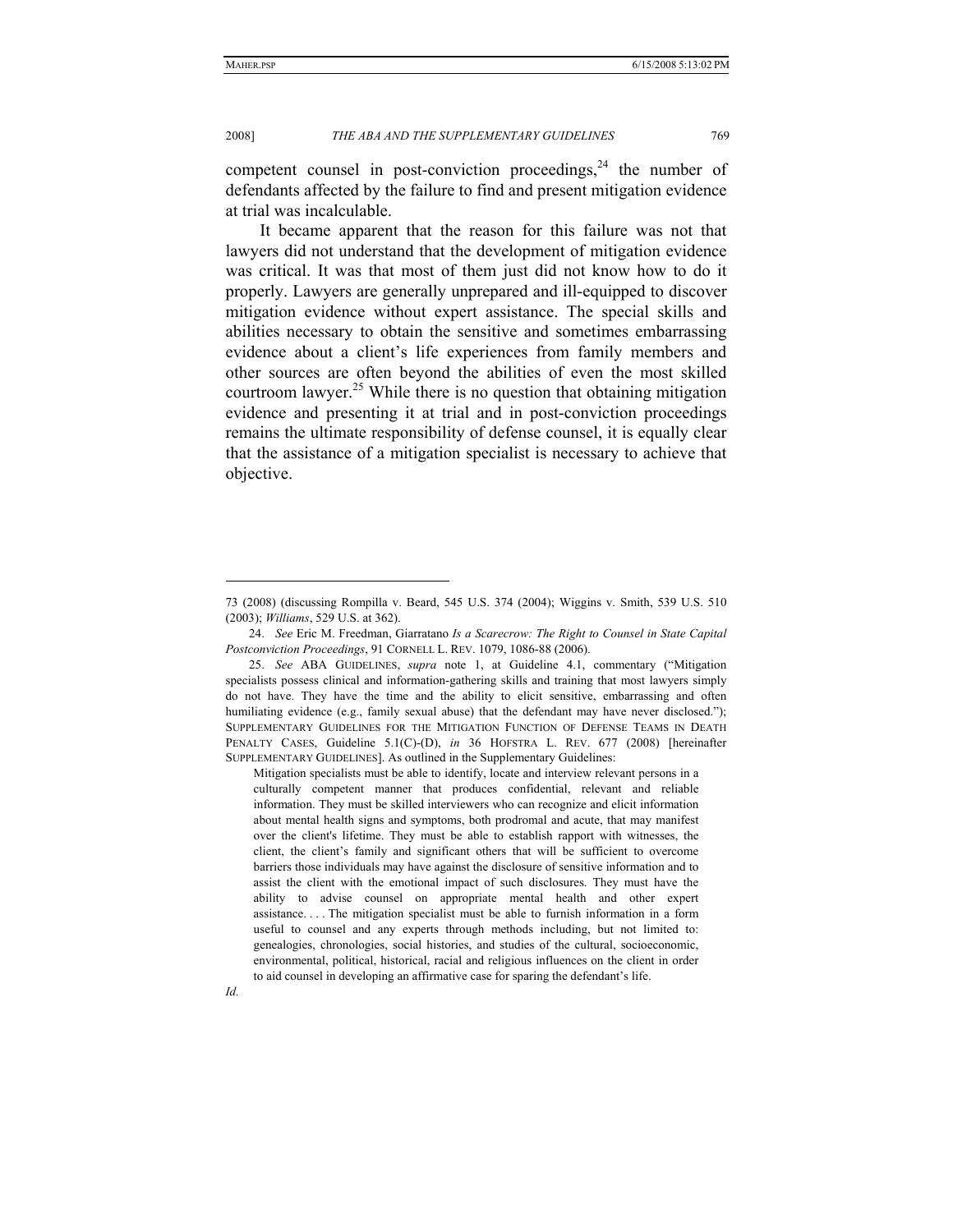2008] *THE ABA AND THE SUPPLEMENTARY GUIDELINES* 769

competent counsel in post-conviction proceedings, $24$  the number of defendants affected by the failure to find and present mitigation evidence at trial was incalculable.

It became apparent that the reason for this failure was not that lawyers did not understand that the development of mitigation evidence was critical. It was that most of them just did not know how to do it properly. Lawyers are generally unprepared and ill-equipped to discover mitigation evidence without expert assistance. The special skills and abilities necessary to obtain the sensitive and sometimes embarrassing evidence about a client's life experiences from family members and other sources are often beyond the abilities of even the most skilled courtroom lawyer.<sup>25</sup> While there is no question that obtaining mitigation evidence and presenting it at trial and in post-conviction proceedings remains the ultimate responsibility of defense counsel, it is equally clear that the assistance of a mitigation specialist is necessary to achieve that objective.

*Id.* 

<sup>73 (2008) (</sup>discussing Rompilla v. Beard, 545 U.S. 374 (2004); Wiggins v. Smith, 539 U.S. 510 (2003); *Williams*, 529 U.S. at 362).

 <sup>24.</sup> *See* Eric M. Freedman, Giarratano *Is a Scarecrow: The Right to Counsel in State Capital Postconviction Proceedings*, 91 CORNELL L. REV. 1079, 1086-88 (2006).

 <sup>25.</sup> *See* ABA GUIDELINES, *supra* note 1, at Guideline 4.1, commentary ("Mitigation specialists possess clinical and information-gathering skills and training that most lawyers simply do not have. They have the time and the ability to elicit sensitive, embarrassing and often humiliating evidence (e.g., family sexual abuse) that the defendant may have never disclosed."); SUPPLEMENTARY GUIDELINES FOR THE MITIGATION FUNCTION OF DEFENSE TEAMS IN DEATH PENALTY CASES, Guideline 5.1(C)-(D), *in* 36 HOFSTRA L. REV. 677 (2008) [hereinafter SUPPLEMENTARY GUIDELINES]. As outlined in the Supplementary Guidelines:

Mitigation specialists must be able to identify, locate and interview relevant persons in a culturally competent manner that produces confidential, relevant and reliable information. They must be skilled interviewers who can recognize and elicit information about mental health signs and symptoms, both prodromal and acute, that may manifest over the client's lifetime. They must be able to establish rapport with witnesses, the client, the client's family and significant others that will be sufficient to overcome barriers those individuals may have against the disclosure of sensitive information and to assist the client with the emotional impact of such disclosures. They must have the ability to advise counsel on appropriate mental health and other expert assistance. . . . The mitigation specialist must be able to furnish information in a form useful to counsel and any experts through methods including, but not limited to: genealogies, chronologies, social histories, and studies of the cultural, socioeconomic, environmental, political, historical, racial and religious influences on the client in order to aid counsel in developing an affirmative case for sparing the defendant's life.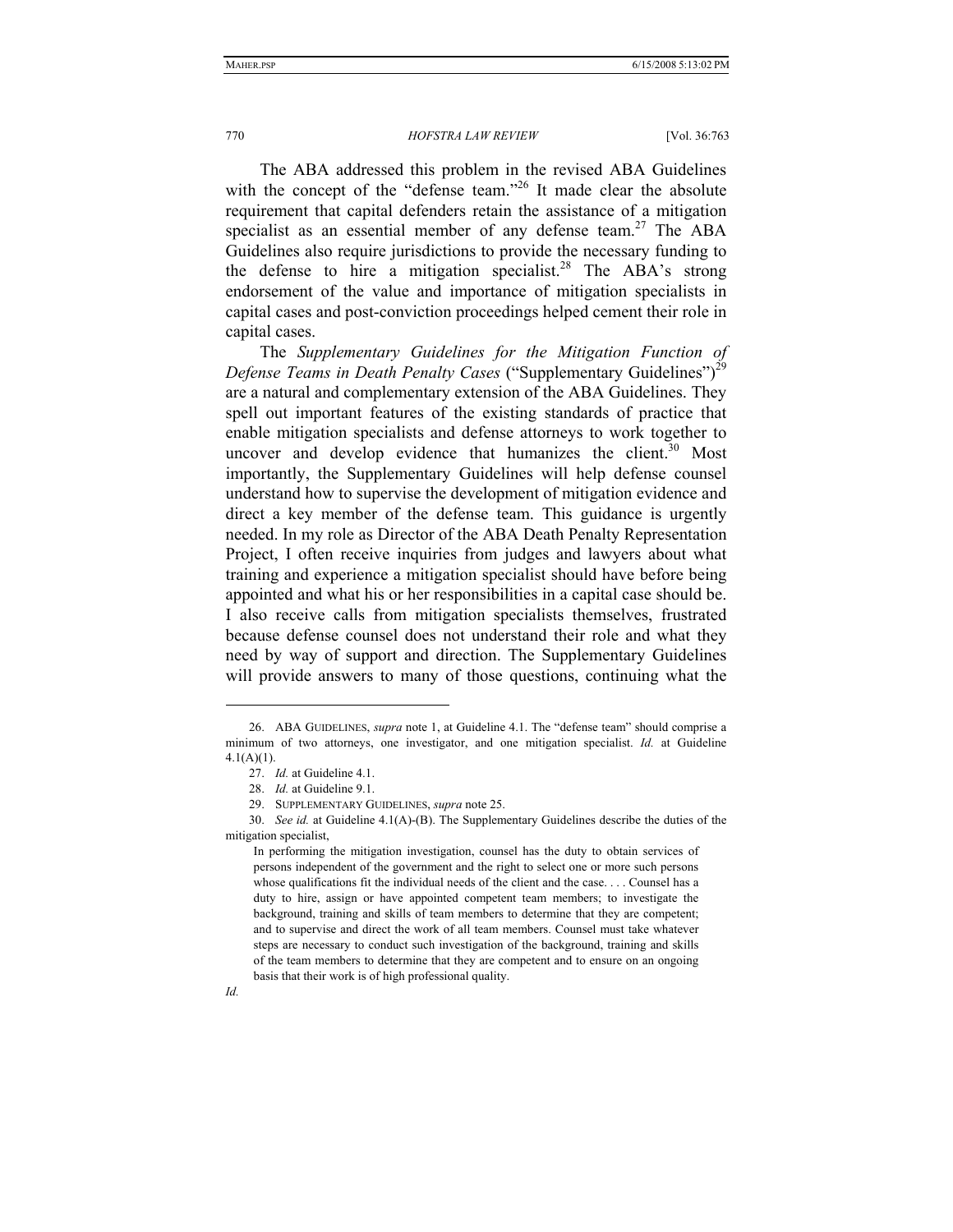The ABA addressed this problem in the revised ABA Guidelines with the concept of the "defense team."<sup>26</sup> It made clear the absolute requirement that capital defenders retain the assistance of a mitigation specialist as an essential member of any defense team.<sup>27</sup> The ABA Guidelines also require jurisdictions to provide the necessary funding to the defense to hire a mitigation specialist.<sup>28</sup> The ABA's strong endorsement of the value and importance of mitigation specialists in capital cases and post-conviction proceedings helped cement their role in capital cases.

The *Supplementary Guidelines for the Mitigation Function of Defense Teams in Death Penalty Cases* ("Supplementary Guidelines")<sup>29</sup> are a natural and complementary extension of the ABA Guidelines. They spell out important features of the existing standards of practice that enable mitigation specialists and defense attorneys to work together to uncover and develop evidence that humanizes the client. $30$  Most importantly, the Supplementary Guidelines will help defense counsel understand how to supervise the development of mitigation evidence and direct a key member of the defense team. This guidance is urgently needed. In my role as Director of the ABA Death Penalty Representation Project, I often receive inquiries from judges and lawyers about what training and experience a mitigation specialist should have before being appointed and what his or her responsibilities in a capital case should be. I also receive calls from mitigation specialists themselves, frustrated because defense counsel does not understand their role and what they need by way of support and direction. The Supplementary Guidelines will provide answers to many of those questions, continuing what the

In performing the mitigation investigation, counsel has the duty to obtain services of persons independent of the government and the right to select one or more such persons whose qualifications fit the individual needs of the client and the case. . . . Counsel has a duty to hire, assign or have appointed competent team members; to investigate the background, training and skills of team members to determine that they are competent; and to supervise and direct the work of all team members. Counsel must take whatever steps are necessary to conduct such investigation of the background, training and skills of the team members to determine that they are competent and to ensure on an ongoing basis that their work is of high professional quality.



<sup>26.</sup> ABA GUIDELINES, *supra* note 1, at Guideline 4.1. The "defense team" should comprise a minimum of two attorneys, one investigator, and one mitigation specialist. *Id.* at Guideline 4.1(A)(1).

<sup>27.</sup> *Id.* at Guideline 4.1.

<sup>28.</sup> *Id.* at Guideline 9.1.

 <sup>29.</sup> SUPPLEMENTARY GUIDELINES, *supra* note 25.

<sup>30.</sup> *See id.* at Guideline 4.1(A)-(B). The Supplementary Guidelines describe the duties of the mitigation specialist,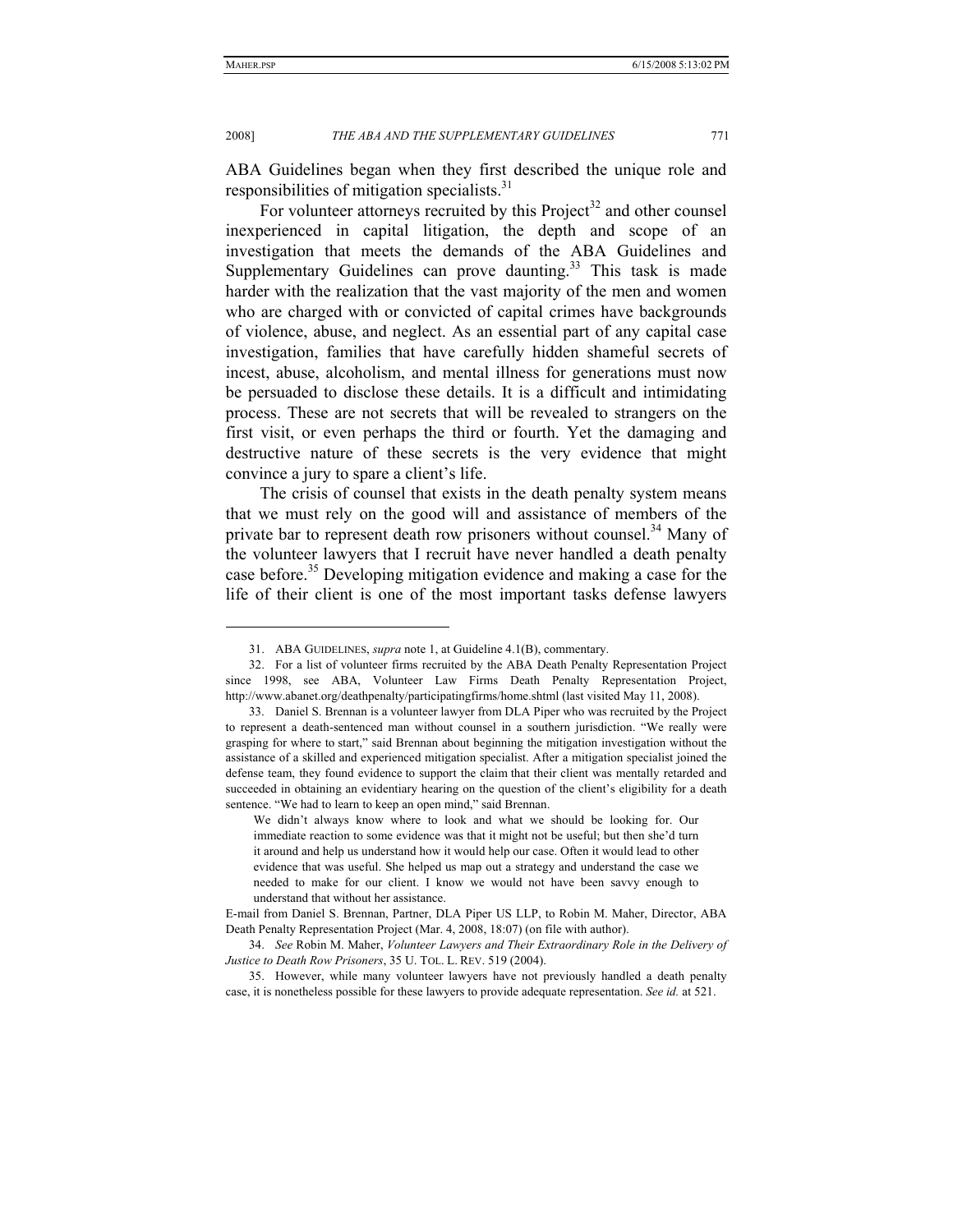#### 2008] *THE ABA AND THE SUPPLEMENTARY GUIDELINES* 771

ABA Guidelines began when they first described the unique role and responsibilities of mitigation specialists.<sup>31</sup>

For volunteer attorneys recruited by this Project<sup>32</sup> and other counsel inexperienced in capital litigation, the depth and scope of an investigation that meets the demands of the ABA Guidelines and Supplementary Guidelines can prove daunting. $33$  This task is made harder with the realization that the vast majority of the men and women who are charged with or convicted of capital crimes have backgrounds of violence, abuse, and neglect. As an essential part of any capital case investigation, families that have carefully hidden shameful secrets of incest, abuse, alcoholism, and mental illness for generations must now be persuaded to disclose these details. It is a difficult and intimidating process. These are not secrets that will be revealed to strangers on the first visit, or even perhaps the third or fourth. Yet the damaging and destructive nature of these secrets is the very evidence that might convince a jury to spare a client's life.

The crisis of counsel that exists in the death penalty system means that we must rely on the good will and assistance of members of the private bar to represent death row prisoners without counsel.<sup>34</sup> Many of the volunteer lawyers that I recruit have never handled a death penalty case before.<sup>35</sup> Developing mitigation evidence and making a case for the life of their client is one of the most important tasks defense lawyers

<sup>31.</sup> ABA GUIDELINES, *supra* note 1, at Guideline 4.1(B), commentary.

<sup>32.</sup> For a list of volunteer firms recruited by the ABA Death Penalty Representation Project since 1998, see ABA, Volunteer Law Firms Death Penalty Representation Project, http://www.abanet.org/deathpenalty/participatingfirms/home.shtml (last visited May 11, 2008).

 <sup>33.</sup> Daniel S. Brennan is a volunteer lawyer from DLA Piper who was recruited by the Project to represent a death-sentenced man without counsel in a southern jurisdiction. "We really were grasping for where to start," said Brennan about beginning the mitigation investigation without the assistance of a skilled and experienced mitigation specialist. After a mitigation specialist joined the defense team, they found evidence to support the claim that their client was mentally retarded and succeeded in obtaining an evidentiary hearing on the question of the client's eligibility for a death sentence. "We had to learn to keep an open mind," said Brennan.

We didn't always know where to look and what we should be looking for. Our immediate reaction to some evidence was that it might not be useful; but then she'd turn it around and help us understand how it would help our case. Often it would lead to other evidence that was useful. She helped us map out a strategy and understand the case we needed to make for our client. I know we would not have been savvy enough to understand that without her assistance.

E-mail from Daniel S. Brennan, Partner, DLA Piper US LLP, to Robin M. Maher, Director, ABA Death Penalty Representation Project (Mar. 4, 2008, 18:07) (on file with author).

<sup>34.</sup> *See* Robin M. Maher, *Volunteer Lawyers and Their Extraordinary Role in the Delivery of Justice to Death Row Prisoners*, 35 U. TOL. L. REV. 519 (2004).

 <sup>35.</sup> However, while many volunteer lawyers have not previously handled a death penalty case, it is nonetheless possible for these lawyers to provide adequate representation. *See id.* at 521.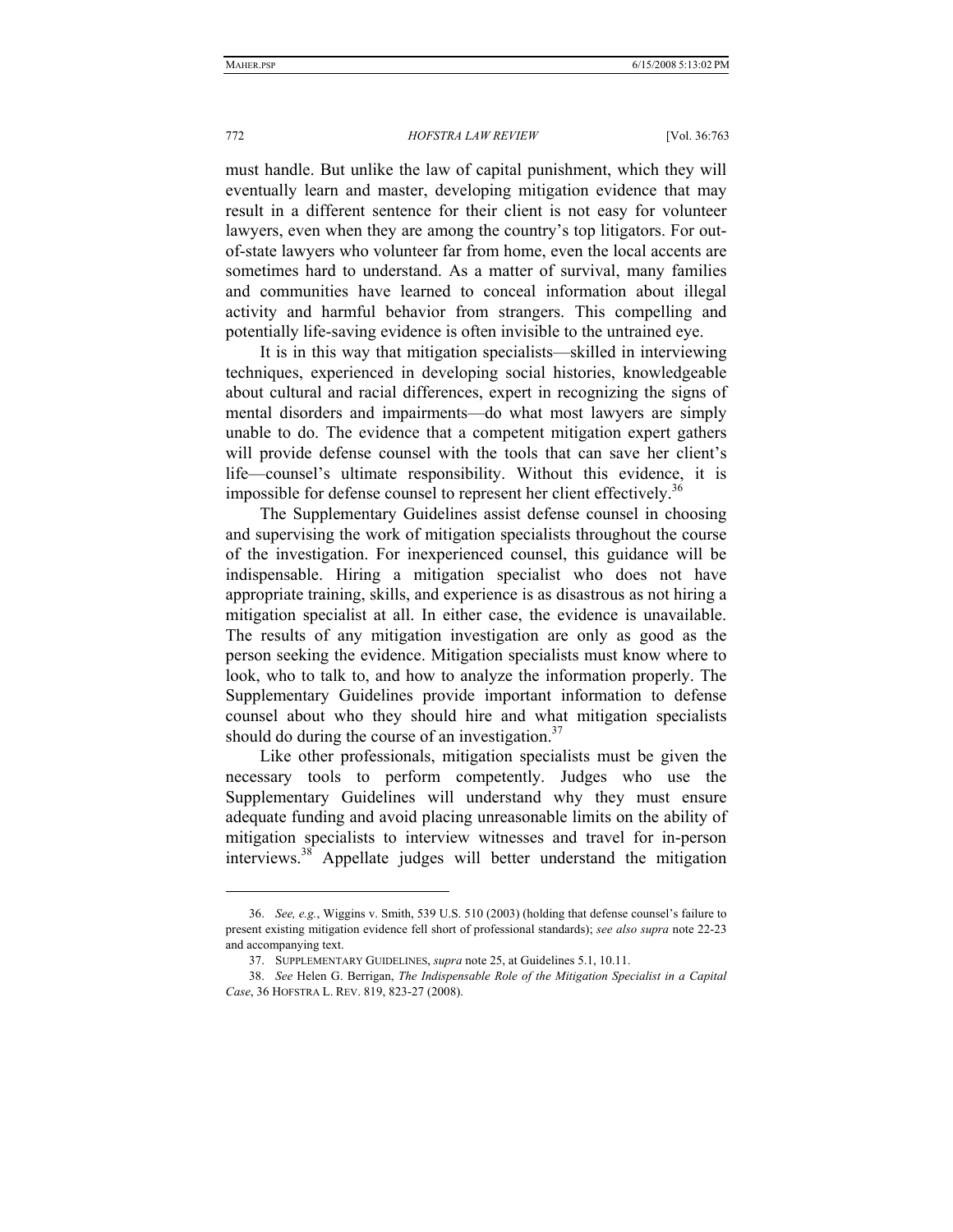must handle. But unlike the law of capital punishment, which they will eventually learn and master, developing mitigation evidence that may result in a different sentence for their client is not easy for volunteer lawyers, even when they are among the country's top litigators. For outof-state lawyers who volunteer far from home, even the local accents are sometimes hard to understand. As a matter of survival, many families and communities have learned to conceal information about illegal activity and harmful behavior from strangers. This compelling and potentially life-saving evidence is often invisible to the untrained eye.

It is in this way that mitigation specialists—skilled in interviewing techniques, experienced in developing social histories, knowledgeable about cultural and racial differences, expert in recognizing the signs of mental disorders and impairments—do what most lawyers are simply unable to do. The evidence that a competent mitigation expert gathers will provide defense counsel with the tools that can save her client's life—counsel's ultimate responsibility. Without this evidence, it is impossible for defense counsel to represent her client effectively.<sup>36</sup>

The Supplementary Guidelines assist defense counsel in choosing and supervising the work of mitigation specialists throughout the course of the investigation. For inexperienced counsel, this guidance will be indispensable. Hiring a mitigation specialist who does not have appropriate training, skills, and experience is as disastrous as not hiring a mitigation specialist at all. In either case, the evidence is unavailable. The results of any mitigation investigation are only as good as the person seeking the evidence. Mitigation specialists must know where to look, who to talk to, and how to analyze the information properly. The Supplementary Guidelines provide important information to defense counsel about who they should hire and what mitigation specialists should do during the course of an investigation. $37$ 

Like other professionals, mitigation specialists must be given the necessary tools to perform competently. Judges who use the Supplementary Guidelines will understand why they must ensure adequate funding and avoid placing unreasonable limits on the ability of mitigation specialists to interview witnesses and travel for in-person interviews.38 Appellate judges will better understand the mitigation

 <sup>36.</sup> *See, e.g.*, Wiggins v. Smith, 539 U.S. 510 (2003) (holding that defense counsel's failure to present existing mitigation evidence fell short of professional standards); *see also supra* note 22-23 and accompanying text.

<sup>37.</sup> SUPPLEMENTARY GUIDELINES, *supra* note 25, at Guidelines 5.1, 10.11.

<sup>38.</sup> *See* Helen G. Berrigan, *The Indispensable Role of the Mitigation Specialist in a Capital Case*, 36 HOFSTRA L. REV. 819, 823-27 (2008).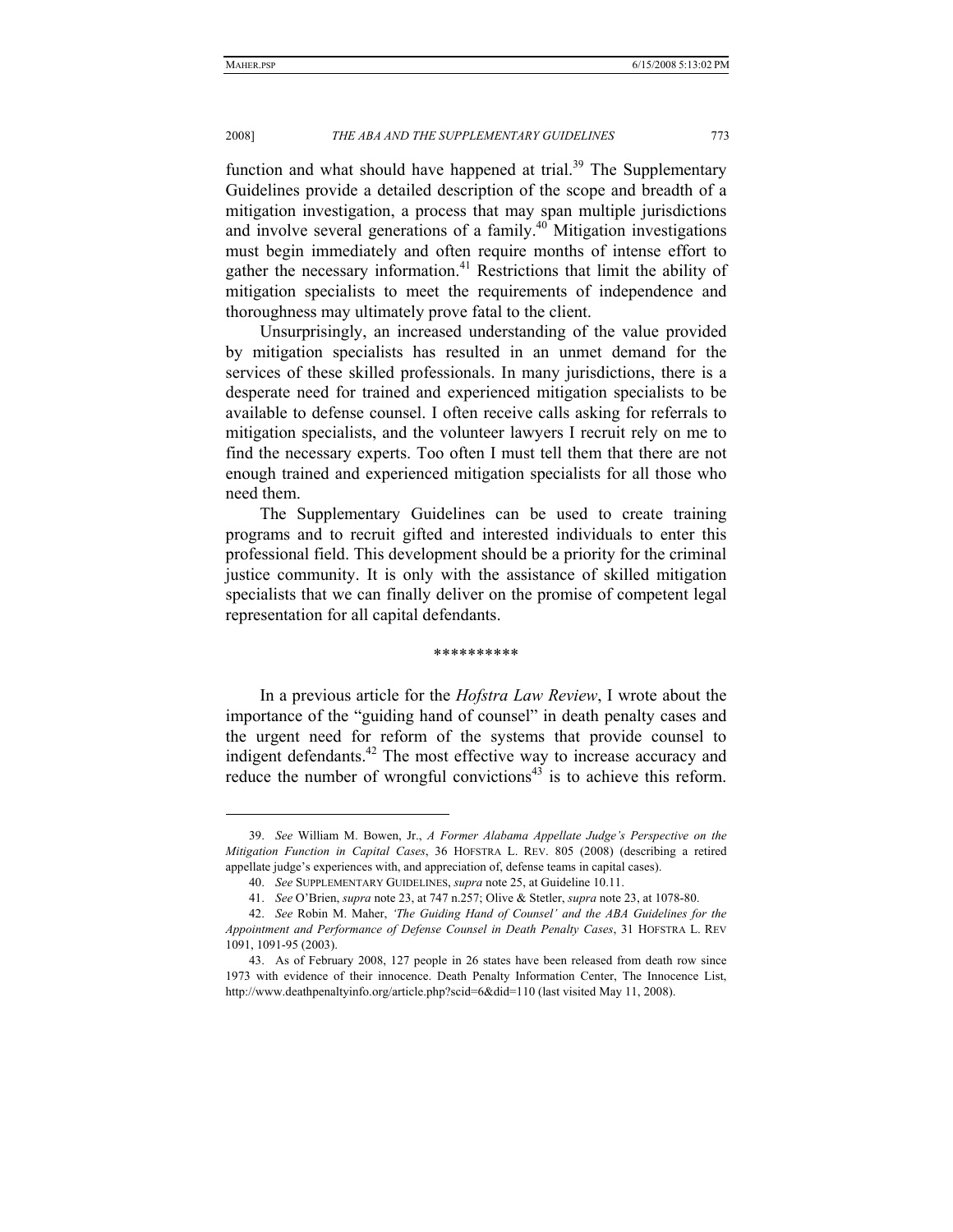#### 2008] *THE ABA AND THE SUPPLEMENTARY GUIDELINES* 773

function and what should have happened at trial. $39$  The Supplementary Guidelines provide a detailed description of the scope and breadth of a mitigation investigation, a process that may span multiple jurisdictions and involve several generations of a family.<sup>40</sup> Mitigation investigations must begin immediately and often require months of intense effort to gather the necessary information.<sup>41</sup> Restrictions that limit the ability of mitigation specialists to meet the requirements of independence and thoroughness may ultimately prove fatal to the client.

Unsurprisingly, an increased understanding of the value provided by mitigation specialists has resulted in an unmet demand for the services of these skilled professionals. In many jurisdictions, there is a desperate need for trained and experienced mitigation specialists to be available to defense counsel. I often receive calls asking for referrals to mitigation specialists, and the volunteer lawyers I recruit rely on me to find the necessary experts. Too often I must tell them that there are not enough trained and experienced mitigation specialists for all those who need them.

The Supplementary Guidelines can be used to create training programs and to recruit gifted and interested individuals to enter this professional field. This development should be a priority for the criminal justice community. It is only with the assistance of skilled mitigation specialists that we can finally deliver on the promise of competent legal representation for all capital defendants.

#### \*\*\*\*\*\*\*\*\*\*

In a previous article for the *Hofstra Law Review*, I wrote about the importance of the "guiding hand of counsel" in death penalty cases and the urgent need for reform of the systems that provide counsel to indigent defendants.<sup>42</sup> The most effective way to increase accuracy and reduce the number of wrongful convictions<sup>43</sup> is to achieve this reform.

<sup>39.</sup> *See* William M. Bowen, Jr., *A Former Alabama Appellate Judge's Perspective on the Mitigation Function in Capital Cases*, 36 HOFSTRA L. REV. 805 (2008) (describing a retired appellate judge's experiences with, and appreciation of, defense teams in capital cases).

<sup>40.</sup> *See* SUPPLEMENTARY GUIDELINES, *supra* note 25, at Guideline 10.11.

 <sup>41.</sup> *See* O'Brien, *supra* note 23, at 747 n.257; Olive & Stetler, *supra* note 23, at 1078-80.

<sup>42.</sup> *See* Robin M. Maher, *'The Guiding Hand of Counsel' and the ABA Guidelines for the Appointment and Performance of Defense Counsel in Death Penalty Cases*, 31 HOFSTRA L. REV 1091, 1091-95 (2003).

 <sup>43.</sup> As of February 2008, 127 people in 26 states have been released from death row since 1973 with evidence of their innocence. Death Penalty Information Center, The Innocence List, http://www.deathpenaltyinfo.org/article.php?scid=6&did=110 (last visited May 11, 2008).